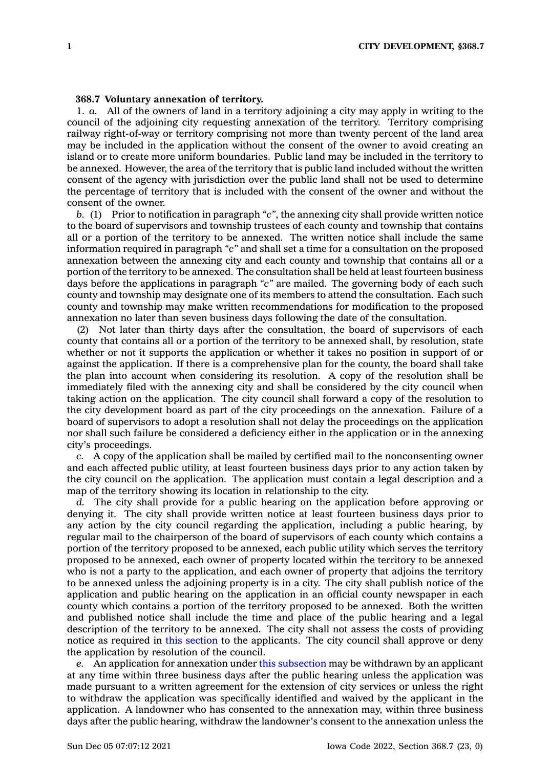## **368.7 Voluntary annexation of territory.**

1. *a.* All of the owners of land in <sup>a</sup> territory adjoining <sup>a</sup> city may apply in writing to the council of the adjoining city requesting annexation of the territory. Territory comprising railway right-of-way or territory comprising not more than twenty percent of the land area may be included in the application without the consent of the owner to avoid creating an island or to create more uniform boundaries. Public land may be included in the territory to be annexed. However, the area of the territory that is public land included without the written consent of the agency with jurisdiction over the public land shall not be used to determine the percentage of territory that is included with the consent of the owner and without the consent of the owner.

*b.* (1) Prior to notification in paragraph *"c"*, the annexing city shall provide written notice to the board of supervisors and township trustees of each county and township that contains all or <sup>a</sup> portion of the territory to be annexed. The written notice shall include the same information required in paragraph *"c"* and shall set <sup>a</sup> time for <sup>a</sup> consultation on the proposed annexation between the annexing city and each county and township that contains all or <sup>a</sup> portion of the territory to be annexed. The consultation shall be held at least fourteen business days before the applications in paragraph *"c"* are mailed. The governing body of each such county and township may designate one of its members to attend the consultation. Each such county and township may make written recommendations for modification to the proposed annexation no later than seven business days following the date of the consultation.

(2) Not later than thirty days after the consultation, the board of supervisors of each county that contains all or <sup>a</sup> portion of the territory to be annexed shall, by resolution, state whether or not it supports the application or whether it takes no position in support of or against the application. If there is <sup>a</sup> comprehensive plan for the county, the board shall take the plan into account when considering its resolution. A copy of the resolution shall be immediately filed with the annexing city and shall be considered by the city council when taking action on the application. The city council shall forward <sup>a</sup> copy of the resolution to the city development board as part of the city proceedings on the annexation. Failure of <sup>a</sup> board of supervisors to adopt <sup>a</sup> resolution shall not delay the proceedings on the application nor shall such failure be considered <sup>a</sup> deficiency either in the application or in the annexing city's proceedings.

*c.* A copy of the application shall be mailed by certified mail to the nonconsenting owner and each affected public utility, at least fourteen business days prior to any action taken by the city council on the application. The application must contain <sup>a</sup> legal description and <sup>a</sup> map of the territory showing its location in relationship to the city.

*d.* The city shall provide for <sup>a</sup> public hearing on the application before approving or denying it. The city shall provide written notice at least fourteen business days prior to any action by the city council regarding the application, including <sup>a</sup> public hearing, by regular mail to the chairperson of the board of supervisors of each county which contains <sup>a</sup> portion of the territory proposed to be annexed, each public utility which serves the territory proposed to be annexed, each owner of property located within the territory to be annexed who is not <sup>a</sup> party to the application, and each owner of property that adjoins the territory to be annexed unless the adjoining property is in <sup>a</sup> city. The city shall publish notice of the application and public hearing on the application in an official county newspaper in each county which contains <sup>a</sup> portion of the territory proposed to be annexed. Both the written and published notice shall include the time and place of the public hearing and <sup>a</sup> legal description of the territory to be annexed. The city shall not assess the costs of providing notice as required in this [section](https://www.legis.iowa.gov/docs/code/368.7.pdf) to the applicants. The city council shall approve or deny the application by resolution of the council.

*e.* An application for annexation under this [subsection](https://www.legis.iowa.gov/docs/code/368.7.pdf) may be withdrawn by an applicant at any time within three business days after the public hearing unless the application was made pursuant to <sup>a</sup> written agreement for the extension of city services or unless the right to withdraw the application was specifically identified and waived by the applicant in the application. A landowner who has consented to the annexation may, within three business days after the public hearing, withdraw the landowner's consent to the annexation unless the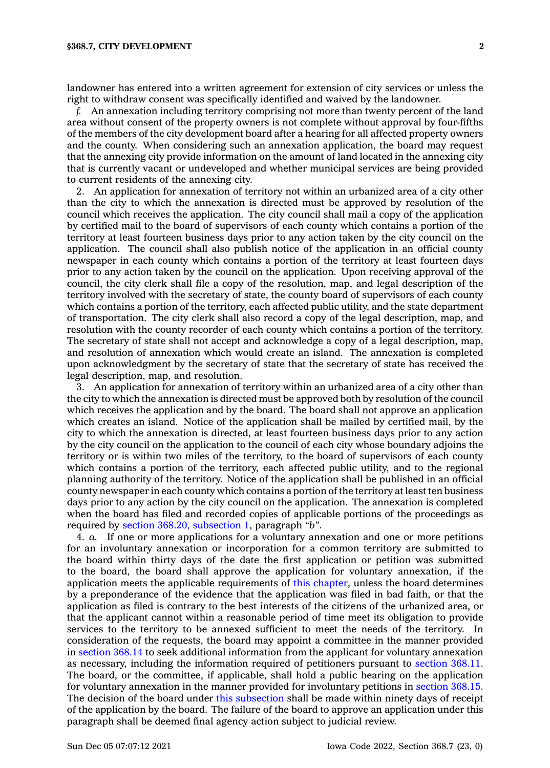landowner has entered into <sup>a</sup> written agreement for extension of city services or unless the right to withdraw consent was specifically identified and waived by the landowner.

*f.* An annexation including territory comprising not more than twenty percent of the land area without consent of the property owners is not complete without approval by four-fifths of the members of the city development board after <sup>a</sup> hearing for all affected property owners and the county. When considering such an annexation application, the board may request that the annexing city provide information on the amount of land located in the annexing city that is currently vacant or undeveloped and whether municipal services are being provided to current residents of the annexing city.

2. An application for annexation of territory not within an urbanized area of <sup>a</sup> city other than the city to which the annexation is directed must be approved by resolution of the council which receives the application. The city council shall mail <sup>a</sup> copy of the application by certified mail to the board of supervisors of each county which contains <sup>a</sup> portion of the territory at least fourteen business days prior to any action taken by the city council on the application. The council shall also publish notice of the application in an official county newspaper in each county which contains <sup>a</sup> portion of the territory at least fourteen days prior to any action taken by the council on the application. Upon receiving approval of the council, the city clerk shall file <sup>a</sup> copy of the resolution, map, and legal description of the territory involved with the secretary of state, the county board of supervisors of each county which contains <sup>a</sup> portion of the territory, each affected public utility, and the state department of transportation. The city clerk shall also record <sup>a</sup> copy of the legal description, map, and resolution with the county recorder of each county which contains <sup>a</sup> portion of the territory. The secretary of state shall not accept and acknowledge <sup>a</sup> copy of <sup>a</sup> legal description, map, and resolution of annexation which would create an island. The annexation is completed upon acknowledgment by the secretary of state that the secretary of state has received the legal description, map, and resolution.

3. An application for annexation of territory within an urbanized area of <sup>a</sup> city other than the city to which the annexation is directed must be approved both by resolution of the council which receives the application and by the board. The board shall not approve an application which creates an island. Notice of the application shall be mailed by certified mail, by the city to which the annexation is directed, at least fourteen business days prior to any action by the city council on the application to the council of each city whose boundary adjoins the territory or is within two miles of the territory, to the board of supervisors of each county which contains <sup>a</sup> portion of the territory, each affected public utility, and to the regional planning authority of the territory. Notice of the application shall be published in an official county newspaper in each county which contains <sup>a</sup> portion of the territory at least ten business days prior to any action by the city council on the application. The annexation is completed when the board has filed and recorded copies of applicable portions of the proceedings as required by section 368.20, [subsection](https://www.legis.iowa.gov/docs/code/368.20.pdf) 1, paragraph *"b"*.

4. *a.* If one or more applications for <sup>a</sup> voluntary annexation and one or more petitions for an involuntary annexation or incorporation for <sup>a</sup> common territory are submitted to the board within thirty days of the date the first application or petition was submitted to the board, the board shall approve the application for voluntary annexation, if the application meets the applicable requirements of this [chapter](https://www.legis.iowa.gov/docs/code//368.pdf), unless the board determines by <sup>a</sup> preponderance of the evidence that the application was filed in bad faith, or that the application as filed is contrary to the best interests of the citizens of the urbanized area, or that the applicant cannot within <sup>a</sup> reasonable period of time meet its obligation to provide services to the territory to be annexed sufficient to meet the needs of the territory. In consideration of the requests, the board may appoint <sup>a</sup> committee in the manner provided in [section](https://www.legis.iowa.gov/docs/code/368.14.pdf) 368.14 to seek additional information from the applicant for voluntary annexation as necessary, including the information required of petitioners pursuant to [section](https://www.legis.iowa.gov/docs/code/368.11.pdf) 368.11. The board, or the committee, if applicable, shall hold <sup>a</sup> public hearing on the application for voluntary annexation in the manner provided for involuntary petitions in [section](https://www.legis.iowa.gov/docs/code/368.15.pdf) 368.15. The decision of the board under this [subsection](https://www.legis.iowa.gov/docs/code/368.7.pdf) shall be made within ninety days of receipt of the application by the board. The failure of the board to approve an application under this paragraph shall be deemed final agency action subject to judicial review.